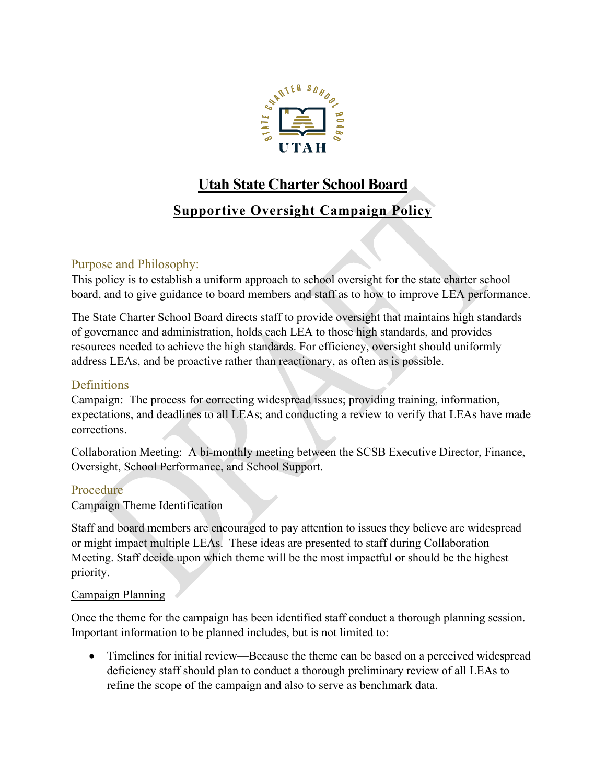

# **Utah State Charter School Board**

## **Supportive Oversight Campaign Policy**

## Purpose and Philosophy:

This policy is to establish a uniform approach to school oversight for the state charter school board, and to give guidance to board members and staff as to how to improve LEA performance.

The State Charter School Board directs staff to provide oversight that maintains high standards of governance and administration, holds each LEA to those high standards, and provides resources needed to achieve the high standards. For efficiency, oversight should uniformly address LEAs, and be proactive rather than reactionary, as often as is possible.

## **Definitions**

Campaign: The process for correcting widespread issues; providing training, information, expectations, and deadlines to all LEAs; and conducting a review to verify that LEAs have made corrections.

Collaboration Meeting: A bi-monthly meeting between the SCSB Executive Director, Finance, Oversight, School Performance, and School Support.

### Procedure

#### Campaign Theme Identification

Staff and board members are encouraged to pay attention to issues they believe are widespread or might impact multiple LEAs. These ideas are presented to staff during Collaboration Meeting. Staff decide upon which theme will be the most impactful or should be the highest priority.

#### Campaign Planning

Once the theme for the campaign has been identified staff conduct a thorough planning session. Important information to be planned includes, but is not limited to:

• Timelines for initial review—Because the theme can be based on a perceived widespread deficiency staff should plan to conduct a thorough preliminary review of all LEAs to refine the scope of the campaign and also to serve as benchmark data.